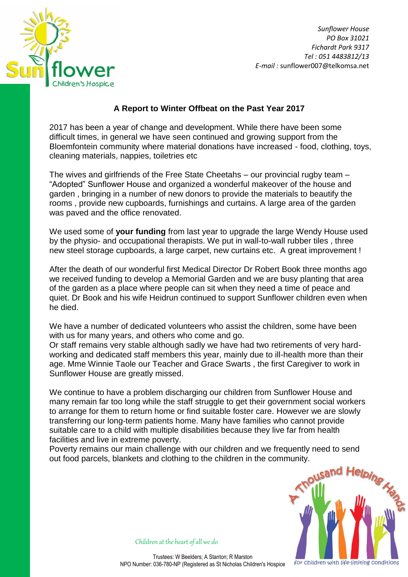

*Sunflower House PO Box 31021 Fichardt Park 9317 Tel : 051 4483812/13 E-mail :* sunflower007@telkomsa.net

## **A Report to Winter Offbeat on the Past Year 2017**

2017 has been a year of change and development. While there have been some difficult times, in general we have seen continued and growing support from the Bloemfontein community where material donations have increased - food, clothing, toys, cleaning materials, nappies, toiletries etc

The wives and girlfriends of the Free State Cheetahs – our provincial rugby team – "Adopted" Sunflower House and organized a wonderful makeover of the house and garden , bringing in a number of new donors to provide the materials to beautify the rooms , provide new cupboards, furnishings and curtains. A large area of the garden was paved and the office renovated.

We used some of **your funding** from last year to upgrade the large Wendy House used by the physio- and occupational therapists. We put in wall-to-wall rubber tiles , three new steel storage cupboards, a large carpet, new curtains etc. A great improvement !

After the death of our wonderful first Medical Director Dr Robert Book three months ago we received funding to develop a Memorial Garden and we are busy planting that area of the garden as a place where people can sit when they need a time of peace and quiet. Dr Book and his wife Heidrun continued to support Sunflower children even when he died.

We have a number of dedicated volunteers who assist the children, some have been with us for many years, and others who come and go.

Or staff remains very stable although sadly we have had two retirements of very hardworking and dedicated staff members this year, mainly due to ill-health more than their age. Mme Winnie Taole our Teacher and Grace Swarts , the first Caregiver to work in Sunflower House are greatly missed.

We continue to have a problem discharging our children from Sunflower House and many remain far too long while the staff struggle to get their government social workers to arrange for them to return home or find suitable foster care. However we are slowly transferring our long-term patients home. Many have families who cannot provide suitable care to a child with multiple disabilities because they live far from health facilities and live in extreme poverty.

Poverty remains our main challenge with our children and we frequently need to send out food parcels, blankets and clothing to the children in the community.



Children at the heart of all we do

Trustees: W Beelders; A Stanton; R Marston NPO Number: 036-780-NP (Registered as St Nicholas Children's Hospice